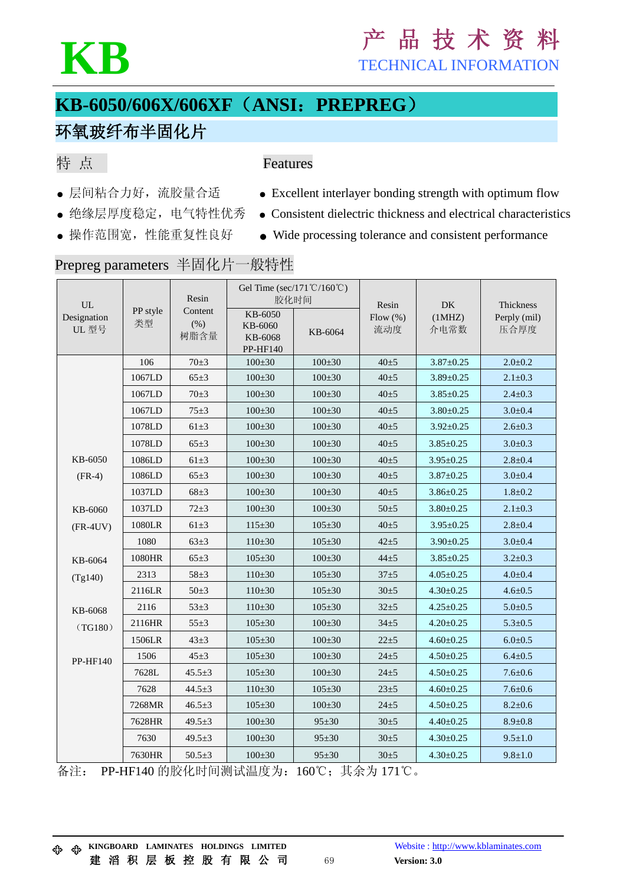### KB<br>
KB<br>
TECHNICAL INFORMATION TECHNICAL INFORMATION

### **KB-6050/606X/606XF**(**ANSI**:**PREPREG**)

#### 环氧玻纤布半固化片

#### 特 点

#### Features

- 
- 
- 
- 层间粘合力好, 流胶量合适 → Excellent interlayer bonding strength with optimum flow
- 绝缘层厚度稳定, 电气特性优秀 Consistent dielectric thickness and electrical characteristics
- 操作范围宽, 性能重复性良好 Wide processing tolerance and consistent performance

#### Prepreg parameters 半固化片一般特性

| UL                   | PP style<br>类型 | Resin<br>Content<br>(% )<br>树脂含量 | Gel Time (sec/171 ℃/160 ℃)<br>胶化时间        |              | Resin              | DK              | Thickness            |
|----------------------|----------------|----------------------------------|-------------------------------------------|--------------|--------------------|-----------------|----------------------|
| Designation<br>UL 型号 |                |                                  | KB-6050<br>KB-6060<br>KB-6068<br>PP-HF140 | KB-6064      | Flow $(\%)$<br>流动度 | (1MHz)<br>介电常数  | Perply (mil)<br>压合厚度 |
|                      | 106            | $70 + 3$                         | $100 + 30$                                | $100 \pm 30$ | $40 + 5$           | $3.87 + 0.25$   | $2.0 + 0.2$          |
|                      | 1067LD         | $65 \pm 3$                       | $100 + 30$                                | $100 + 30$   | $40 + 5$           | $3.89 + 0.25$   | $2.1 \pm 0.3$        |
|                      | 1067LD         | $70 \pm 3$                       | $100 + 30$                                | $100 + 30$   | $40 + 5$           | $3.85 \pm 0.25$ | $2.4 + 0.3$          |
|                      | 1067LD         | $75 + 3$                         | $100 + 30$                                | $100 \pm 30$ | $40 + 5$           | $3.80 + 0.25$   | $3.0 + 0.4$          |
|                      | 1078LD         | $61\pm3$                         | $100 + 30$                                | $100 + 30$   | $40 + 5$           | $3.92 \pm 0.25$ | $2.6 + 0.3$          |
|                      | 1078LD         | $65 \pm 3$                       | $100 + 30$                                | $100 + 30$   | $40 + 5$           | $3.85 \pm 0.25$ | $3.0 - 0.3$          |
| KB-6050              | 1086LD         | $61 \pm 3$                       | $100 \pm 30$                              | $100 \pm 30$ | $40 + 5$           | $3.95 \pm 0.25$ | $2.8 + 0.4$          |
| $(FR-4)$             | 1086LD         | $65 \pm 3$                       | $100 + 30$                                | $100 \pm 30$ | $40 + 5$           | $3.87 + 0.25$   | $3.0 - 0.4$          |
|                      | 1037LD         | $68 \pm 3$                       | $100 + 30$                                | $100 + 30$   | $40 + 5$           | $3.86 \pm 0.25$ | $1.8 + 0.2$          |
| KB-6060              | 1037LD         | $72 + 3$                         | $100 + 30$                                | $100 + 30$   | $50 + 5$           | $3.80 + 0.25$   | $2.1 \pm 0.3$        |
| $(FR-4UV)$           | 1080LR         | $61\pm3$                         | $115 + 30$                                | $105 + 30$   | $40 + 5$           | $3.95 \pm 0.25$ | $2.8 + 0.4$          |
|                      | 1080           | $63 \pm 3$                       | $110 + 30$                                | $105 + 30$   | $42 + 5$           | $3.90 \pm 0.25$ | $3.0 - 0.4$          |
| KB-6064              | 1080HR         | $65 \pm 3$                       | $105 + 30$                                | $100 + 30$   | $44 + 5$           | $3.85 \pm 0.25$ | $3.2 + 0.3$          |
| (Tg140)              | 2313           | $58 \pm 3$                       | $110 + 30$                                | $105 + 30$   | $37 + 5$           | $4.05 \pm 0.25$ | $4.0 - 0.4$          |
|                      | 2116LR         | $50\pm3$                         | $110 + 30$                                | $105 + 30$   | $30 + 5$           | $4.30 + 0.25$   | $4.6 + 0.5$          |
| KB-6068              | 2116           | $53 \pm 3$                       | $110 + 30$                                | $105 + 30$   | $32 + 5$           | $4.25 \pm 0.25$ | $5.0 + 0.5$          |
| (TG180)              | 2116HR         | $55 \pm 3$                       | $105 + 30$                                | $100 + 30$   | $34 + 5$           | $4.20 \pm 0.25$ | $5.3 + 0.5$          |
|                      | 1506LR         | $43 + 3$                         | $105 \pm 30$                              | $100 \pm 30$ | $22 + 5$           | $4.60 + 0.25$   | $6.0 - 0.5$          |
| PP-HF140             | 1506           | $45 \pm 3$                       | $105 + 30$                                | $100 \pm 30$ | $24 + 5$           | $4.50 + 0.25$   | $6.4 + 0.5$          |
|                      | 7628L          | $45.5 + 3$                       | $105 + 30$                                | $100 + 30$   | $24 + 5$           | $4.50 + 0.25$   | $7.6 + 0.6$          |
|                      | 7628           | $44.5 \pm 3$                     | $110\pm 30$                               | $105 + 30$   | $23 + 5$           | $4.60 \pm 0.25$ | $7.6 + 0.6$          |
|                      | 7268MR         | $46.5 \pm 3$                     | $105 + 30$                                | $100 + 30$   | $24 + 5$           | $4.50 + 0.25$   | $8.2 \pm 0.6$        |
|                      | 7628HR         | 49.5 $\pm$ 3                     | $100 + 30$                                | $95 + 30$    | $30 + 5$           | $4.40 \pm 0.25$ | $8.9 + 0.8$          |
|                      | 7630           | $49.5 + 3$                       | $100 \pm 30$                              | $95 \pm 30$  | $30 \pm 5$         | $4.30 + 0.25$   | $9.5 \pm 1.0$        |
|                      | 7630HR         | $50.5 \pm 3$                     | $100 + 30$                                | $95 + 30$    | $30 + 5$           | $4.30 + 0.25$   | $9.8 \pm 1.0$        |

备注: PP-HF140 的胶化时间测试温度为:160℃;其余为 171℃。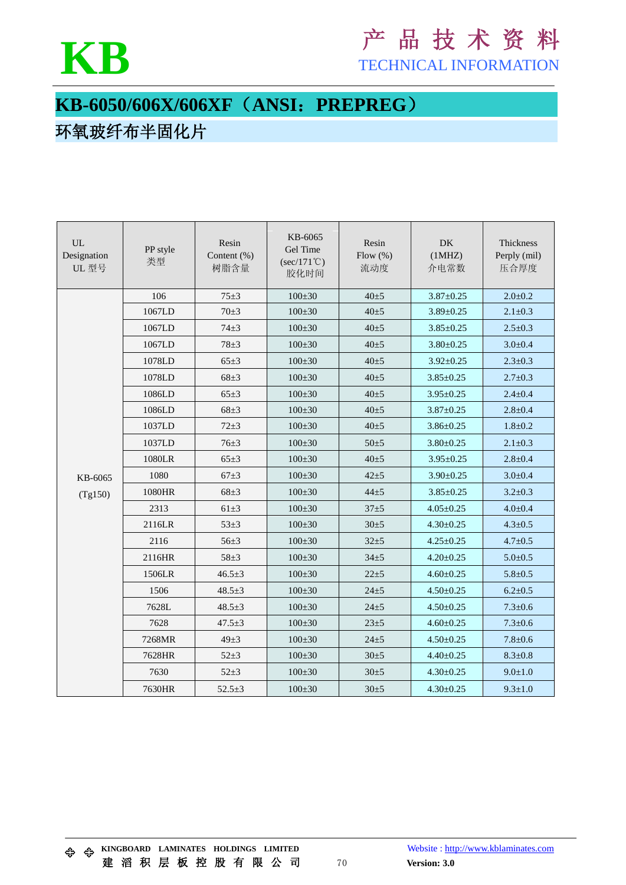

# KB<br>
FECHNICAL INFORMATION

TECHNICAL INFORMATION

### **KB-6050/606X/606XF**(**ANSI**:**PREPREG**)

#### 环氧玻纤布半固化片

| <b>UL</b><br>Designation<br>UL型号 | PP style<br>类型 | Resin<br>Content (%)<br>树脂含量 | KB-6065<br>Gel Time<br>$(\sec/171^{\circ}\mathrm{C})$<br>胶化时间 | Resin<br>Flow $(\% )$<br>流动度 | <b>DK</b><br>(1MHz)<br>介电常数 | Thickness<br>Perply (mil)<br>压合厚度 |
|----------------------------------|----------------|------------------------------|---------------------------------------------------------------|------------------------------|-----------------------------|-----------------------------------|
|                                  | 106            | $75 + 3$                     | $100 + 30$                                                    | $40 + 5$                     | $3.87 + 0.25$               | $2.0 + 0.2$                       |
|                                  | 1067LD         | $70 + 3$                     | $100 \pm 30$                                                  | $40 + 5$                     | $3.89 + 0.25$               | $2.1 \pm 0.3$                     |
|                                  | 1067LD         | $74 + 3$                     | $100 \pm 30$                                                  | $40 + 5$                     | $3.85 \pm 0.25$             | $2.5 \pm 0.3$                     |
|                                  | 1067LD         | $78 + 3$                     | $100 + 30$                                                    | $40 + 5$                     | $3.80 + 0.25$               | $3.0 + 0.4$                       |
|                                  | 1078LD         | $65 \pm 3$                   | $100 + 30$                                                    | $40 + 5$                     | $3.92 \pm 0.25$             | $2.3 + 0.3$                       |
|                                  | 1078LD         | $68 + 3$                     | $100 + 30$                                                    | $40 + 5$                     | $3.85 + 0.25$               | $2.7 + 0.3$                       |
|                                  | 1086LD         | $65 \pm 3$                   | $100 + 30$                                                    | $40 + 5$                     | $3.95 \pm 0.25$             | $2.4 + 0.4$                       |
|                                  | 1086LD         | $68 + 3$                     | $100 + 30$                                                    | $40 + 5$                     | $3.87 + 0.25$               | $2.8 + 0.4$                       |
|                                  | 1037LD         | $72 + 3$                     | $100 + 30$                                                    | $40 + 5$                     | $3.86 + 0.25$               | $1.8 + 0.2$                       |
|                                  | 1037LD         | $76 + 3$                     | $100 + 30$                                                    | $50 + 5$                     | $3.80 + 0.25$               | $2.1 \pm 0.3$                     |
|                                  | 1080LR         | $65 \pm 3$                   | $100 + 30$                                                    | $40 + 5$                     | $3.95 \pm 0.25$             | $2.8 + 0.4$                       |
| KB-6065                          | 1080           | $67 + 3$                     | $100 \pm 30$                                                  | $42 + 5$                     | $3.90 + 0.25$               | $3.0 + 0.4$                       |
| (Tg150)                          | 1080HR         | $68 + 3$                     | $100 \pm 30$                                                  | $44 + 5$                     | $3.85 + 0.25$               | $3.2 + 0.3$                       |
|                                  | 2313           | $61\pm3$                     | $100 + 30$                                                    | $37 + 5$                     | $4.05 \pm 0.25$             | $4.0 \pm 0.4$                     |
|                                  | 2116LR         | $53 + 3$                     | $100 + 30$                                                    | $30 + 5$                     | $4.30 \pm 0.25$             | $4.3 + 0.5$                       |
|                                  | 2116           | $56 + 3$                     | $100 + 30$                                                    | $32 + 5$                     | $4.25 \pm 0.25$             | $4.7 + 0.5$                       |
|                                  | 2116HR         | $58 + 3$                     | $100 \pm 30$                                                  | $34 + 5$                     | $4.20 \pm 0.25$             | $5.0 + 0.5$                       |
|                                  | 1506LR         | $46.5 + 3$                   | $100 \pm 30$                                                  | $22 + 5$                     | $4.60 + 0.25$               | $5.8 + 0.5$                       |
|                                  | 1506           | $48.5 + 3$                   | $100 \pm 30$                                                  | $24 + 5$                     | $4.50 + 0.25$               | $6.2 + 0.5$                       |
|                                  | 7628L          | $48.5 + 3$                   | $100 + 30$                                                    | $24 + 5$                     | $4.50 + 0.25$               | $7.3 + 0.6$                       |
|                                  | 7628           | $47.5 + 3$                   | $100 + 30$                                                    | $23 + 5$                     | $4.60 + 0.25$               | $7.3 \pm 0.6$                     |
|                                  | 7268MR         | $49 + 3$                     | $100 \pm 30$                                                  | $24 + 5$                     | $4.50 + 0.25$               | $7.8 + 0.6$                       |
|                                  | 7628HR         | $52 + 3$                     | $100 \pm 30$                                                  | $30 + 5$                     | $4.40 \pm 0.25$             | $8.3 + 0.8$                       |
|                                  | 7630           | $52 + 3$                     | $100 \pm 30$                                                  | $30 + 5$                     | $4.30 \pm 0.25$             | $9.0 \pm 1.0$                     |
|                                  | 7630HR         | $52.5 + 3$                   | $100 + 30$                                                    | $30 + 5$                     | $4.30 \pm 0.25$             | $9.3 \pm 1.0$                     |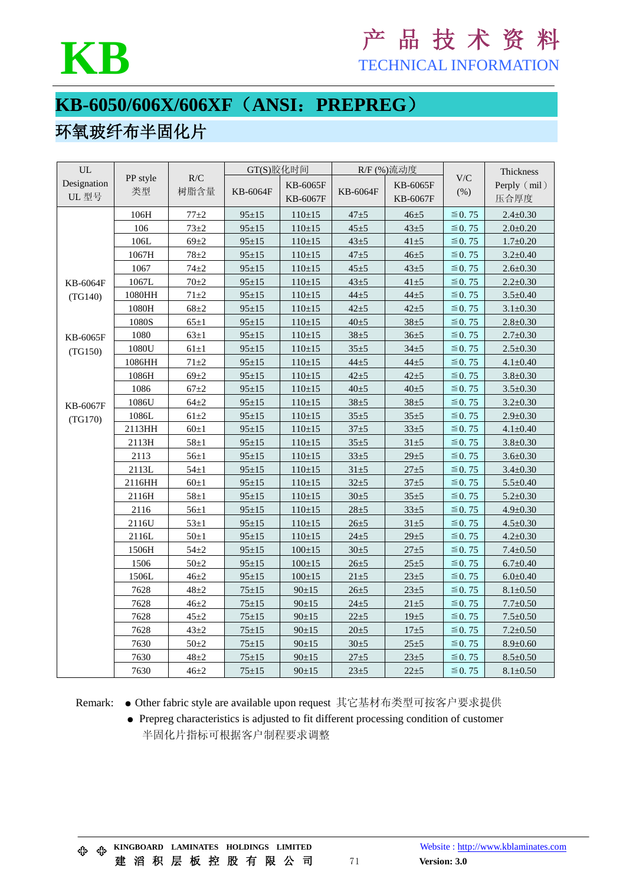

## **KB** <sup>产</sup> <sup>品</sup> <sup>技</sup> <sup>术</sup> <sup>资</sup> <sup>料</sup>

TECHNICAL INFORMATION

#### **KB-6050/606X/606XF**(**ANSI**:**PREPREG**) k<br>T

#### 环氧玻纤布半固化片

| UL                   |                |             | GT(S)胶化时间 |                      | R/F (%)流动度 |                      |                                    | Thickness            |
|----------------------|----------------|-------------|-----------|----------------------|------------|----------------------|------------------------------------|----------------------|
| Designation<br>UL 型号 | PP style<br>类型 | R/C<br>树脂含量 | KB-6064F  | KB-6065F<br>KB-6067F | KB-6064F   | KB-6065F<br>KB-6067F | $\mathbf{V}/\mathbf{C}$<br>$(\% )$ | Perply (mil)<br>压合厚度 |
|                      | 106H           | $77 + 2$    | $95 + 15$ | $110+15$             | $47 + 5$   | $46 + 5$             | $\leq$ 0.75                        | $2.4 \pm 0.30$       |
|                      | 106            | $73 + 2$    | $95 + 15$ | $110+15$             | $45 + 5$   | $43 + 5$             | $\leq 0.75$                        | $2.0 \pm 0.20$       |
|                      | 106L           | $69 \pm 2$  | $95 + 15$ | $110+15$             | $43 + 5$   | $41 + 5$             | $\leq$ 0.75                        | $1.7 \pm 0.20$       |
|                      | 1067H          | $78 + 2$    | $95 + 15$ | $110+15$             | $47 + 5$   | $46 + 5$             | $\leq$ 0.75                        | $3.2 \pm 0.40$       |
|                      | 1067           | $74 + 2$    | $95 + 15$ | $110+15$             | $45 + 5$   | $43 + 5$             | $\leq$ 0.75                        | $2.6 \pm 0.30$       |
| KB-6064F             | 1067L          | $70 + 2$    | $95 + 15$ | $110+15$             | $43 + 5$   | $41 + 5$             | $\leq$ 0.75                        | $2.2 \pm 0.30$       |
| (TG140)              | 1080HH         | $71 + 2$    | $95 + 15$ | $110+15$             | $44 + 5$   | $44 + 5$             | $\leq$ 0.75                        | $3.5 \pm 0.40$       |
|                      | 1080H          | $68 + 2$    | $95 + 15$ | $110 \pm 15$         | $42 + 5$   | $42 + 5$             | $\leq$ 0.75                        | $3.1 \pm 0.30$       |
|                      | 1080S          | $65 \pm 1$  | $95 + 15$ | $110+15$             | $40 + 5$   | $38 \pm 5$           | $\leq$ 0.75                        | $2.8 \pm 0.30$       |
| KB-6065F             | 1080           | $63 \pm 1$  | $95 + 15$ | $110 \pm 15$         | $38 + 5$   | $36 + 5$             | $\leq$ 0.75                        | $2.7 \pm 0.30$       |
| (TG150)              | 1080U          | $61 \pm 1$  | $95 + 15$ | $110 \pm 15$         | $35 + 5$   | $34 + 5$             | $\leq$ 0.75                        | $2.5 \pm 0.30$       |
|                      | 1086HH         | $71 + 2$    | $95 + 15$ | $110 + 15$           | $44 + 5$   | $44 + 5$             | $\leq$ 0.75                        | $4.1 \pm 0.40$       |
|                      | 1086H          | $69 + 2$    | $95 + 15$ | $110+15$             | $42 + 5$   | $42 + 5$             | $\leq$ 0.75                        | $3.8 \pm 0.30$       |
|                      | 1086           | $67 + 2$    | $95 + 15$ | $110+15$             | $40 + 5$   | $40 + 5$             | $\leq$ 0.75                        | $3.5 \pm 0.30$       |
| KB-6067F             | 1086U          | $64 + 2$    | $95 + 15$ | $110+15$             | $38 + 5$   | $38 \pm 5$           | $\leq$ 0.75                        | $3.2 \pm 0.30$       |
| (TG170)              | 1086L          | $61 \pm 2$  | $95 + 15$ | $110+15$             | $35 + 5$   | $35 + 5$             | $\leq$ 0.75                        | $2.9 \pm 0.30$       |
|                      | 2113HH         | $60 \pm 1$  | $95 + 15$ | $110+15$             | $37 + 5$   | $33 + 5$             | $\leq$ 0.75                        | $4.1 \pm 0.40$       |
|                      | 2113H          | $58 \pm 1$  | $95 + 15$ | $110+15$             | $35 + 5$   | $31\pm 5$            | $\leq 0.75$                        | $3.8 \pm 0.30$       |
|                      | 2113           | $56 \pm 1$  | $95 + 15$ | $110+15$             | $33 + 5$   | $29 \pm 5$           | $\leq$ 0.75                        | $3.6 \pm 0.30$       |
|                      | 2113L          | $54 + 1$    | $95 + 15$ | $110 + 15$           | $31 + 5$   | $27 + 5$             | $\leq$ 0.75                        | $3.4 \pm 0.30$       |
|                      | 2116HH         | $60 + 1$    | $95 + 15$ | $110+15$             | $32 + 5$   | $37 + 5$             | $\leq$ 0.75                        | $5.5 \pm 0.40$       |
|                      | 2116H          | $58 \pm 1$  | $95 + 15$ | $110 \pm 15$         | $30 + 5$   | $35 + 5$             | $\leq$ 0.75                        | $5.2 \pm 0.30$       |
|                      | 2116           | $56 \pm 1$  | $95 + 15$ | $110+15$             | $28 + 5$   | $33 + 5$             | $\leq$ 0.75                        | $4.9 \pm 0.30$       |
|                      | 2116U          | $53 \pm 1$  | $95 + 15$ | $110+15$             | $26 + 5$   | $31\pm 5$            | $\leq$ 0.75                        | $4.5 \pm 0.30$       |
|                      | 2116L          | $50 \pm 1$  | $95 + 15$ | $110+15$             | $24 + 5$   | $29 \pm 5$           | $\leq$ 0.75                        | $4.2 \pm 0.30$       |
|                      | 1506H          | $54 + 2$    | $95 + 15$ | $100 \pm 15$         | $30\pm 5$  | $27 + 5$             | $\leq$ 0.75                        | $7.4 \pm 0.50$       |
|                      | 1506           | $50\pm2$    | $95 + 15$ | $100 + 15$           | $26 + 5$   | $25 + 5$             | $\leq$ 0.75                        | $6.7 \pm 0.40$       |
|                      | 1506L          | $46 + 2$    | $95 + 15$ | $100 \pm 15$         | $21 + 5$   | $23 + 5$             | $\leq$ 0.75                        | $6.0 \pm 0.40$       |
|                      | 7628           | $48 + 2$    | $75 + 15$ | $90 \pm 15$          | $26 + 5$   | $23 + 5$             | $\leq$ 0.75                        | $8.1 \pm 0.50$       |
|                      | 7628           | $46 + 2$    | $75 + 15$ | $90 \pm 15$          | $24 + 5$   | $21 + 5$             | $\leq$ 0.75                        | $7.7 \pm 0.50$       |
|                      | 7628           | $45 + 2$    | $75 + 15$ | $90 \pm 15$          | $22 + 5$   | $19\pm 5$            | $\leq$ 0.75                        | $7.5 \pm 0.50$       |
|                      | 7628           | $43 + 2$    | $75 + 15$ | $90 \pm 15$          | $20 + 5$   | $17\pm 5$            | $\leq$ 0.75                        | $7.2 \pm 0.50$       |
|                      | 7630           | $50\pm2$    | $75 + 15$ | $90 \pm 15$          | $30 + 5$   | $25 + 5$             | $\leq$ 0.75                        | $8.9 \pm 0.60$       |
|                      | 7630           | $48 + 2$    | $75 + 15$ | $90 \pm 15$          | $27 + 5$   | $23 + 5$             | $\leq$ 0.75                        | $8.5 \pm 0.50$       |
|                      | 7630           | $46 + 2$    | $75 + 15$ | $90 + 15$            | $23 + 5$   | $22 + 5$             | $\leq$ 0.75                        | $8.1 \pm 0.50$       |

Remark: ● Other fabric style are available upon request 其它基材布类型可按客户要求提供

● Prepreg characteristics is adjusted to fit different processing condition of customer 半固化片指标可根据客户制程要求调整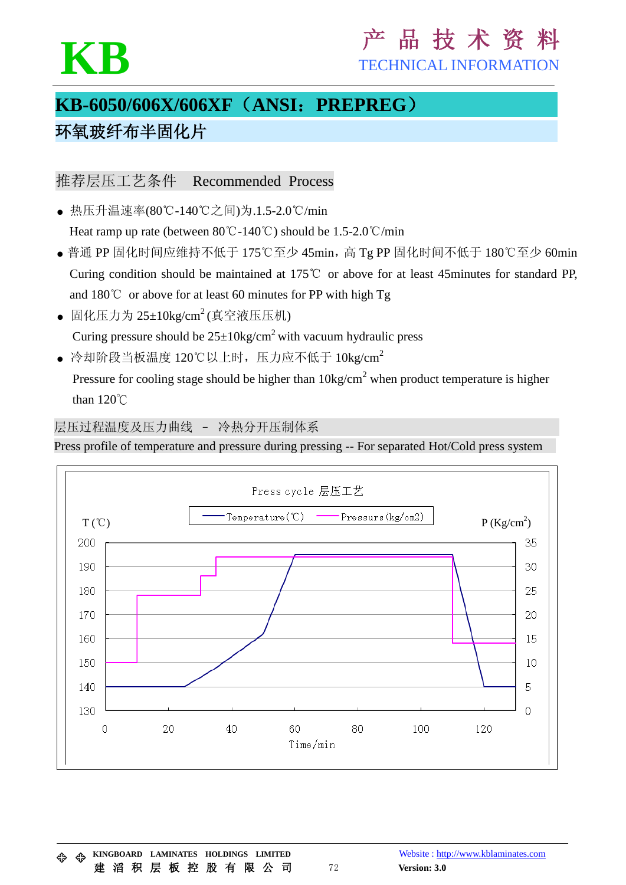# KB 产 品 技 术 资

TECHNICAL INFORMATION

### **KB-6050/606X/606XF**(**ANSI**:**PREPREG**) 环氧玻纤布半固化片

推荐层压工艺条件 Recommended Process

- 热压升温速率(80℃-140℃之间)为.1.5-2.0℃/min Heat ramp up rate (between 80℃-140℃) should be 1.5-2.0℃/min
- 普通 PP 固化时间应维持不低于 175℃至少 45min, 高 Tg PP 固化时间不低于 180℃至少 60min Curing condition should be maintained at 175℃ or above for at least 45minutes for standard PP, and 180℃ or above for at least 60 minutes for PP with high Tg
- 固化压力为  $25 \pm 10$ kg/cm<sup>2</sup> (真空液压压机) Curing pressure should be  $25 \pm 10 \text{kg/cm}^2$  with vacuum hydraulic press
- 冷却阶段当板温度  $120^{\circ}$ C以上时, 压力应不低于  $10\text{kg/cm}^2$

Pressure for cooling stage should be higher than  $10\text{kg/cm}^2$  when product temperature is higher than 120℃

层压过程温度及压力曲线 – 冷热分开压制体系

Press profile of temperature and pressure during pressing -- For separated Hot/Cold press system